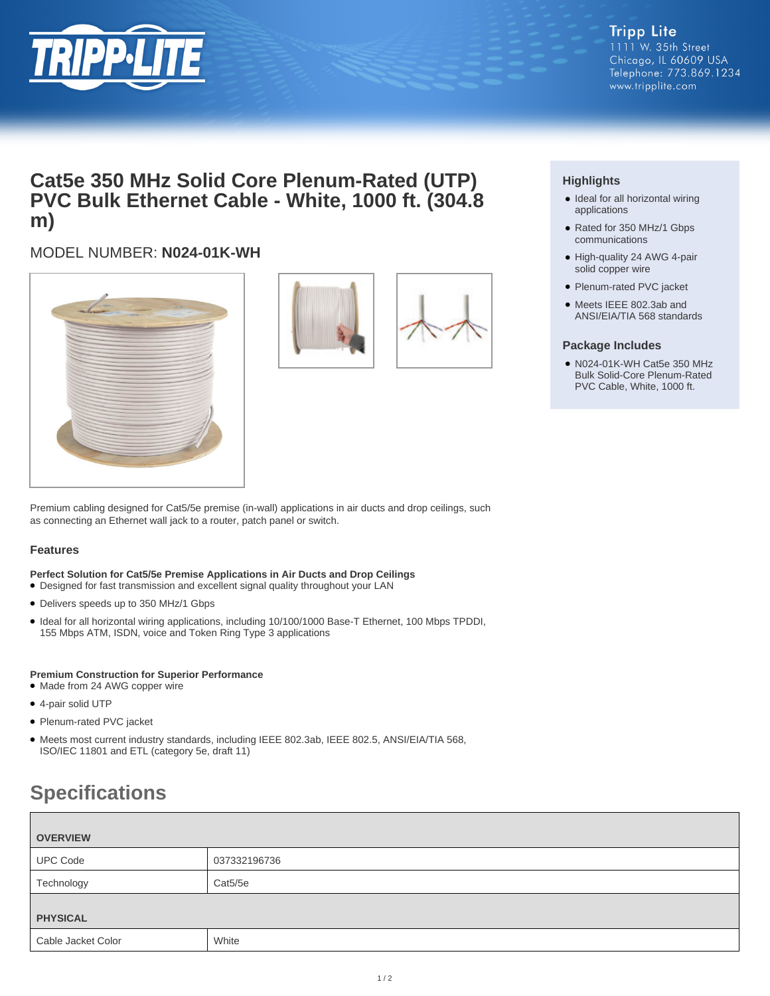

# **Cat5e 350 MHz Solid Core Plenum-Rated (UTP) PVC Bulk Ethernet Cable - White, 1000 ft. (304.8 m)**

## MODEL NUMBER: **N024-01K-WH**





### **Highlights**

- Ideal for all horizontal wiring applications
- Rated for 350 MHz/1 Gbps communications
- High-quality 24 AWG 4-pair solid copper wire
- Plenum-rated PVC jacket
- Meets IEEE 802.3ab and ANSI/EIA/TIA 568 standards

#### **Package Includes**

N024-01K-WH Cat5e 350 MHz ● Bulk Solid-Core Plenum-Rated PVC Cable, White, 1000 ft.

Premium cabling designed for Cat5/5e premise (in-wall) applications in air ducts and drop ceilings, such as connecting an Ethernet wall jack to a router, patch panel or switch.

#### **Features**

**Perfect Solution for Cat5/5e Premise Applications in Air Ducts and Drop Ceilings**

- Designed for fast transmission and excellent signal quality throughout your LAN
- Delivers speeds up to 350 MHz/1 Gbps
- Ideal for all horizontal wiring applications, including 10/100/1000 Base-T Ethernet, 100 Mbps TPDDI, 155 Mbps ATM, ISDN, voice and Token Ring Type 3 applications

#### **Premium Construction for Superior Performance**

- Made from 24 AWG copper wire
- 4-pair solid UTP
- Plenum-rated PVC jacket
- Meets most current industry standards, including IEEE 802.3ab, IEEE 802.5, ANSI/EIA/TIA 568, ISO/IEC 11801 and ETL (category 5e, draft 11)

# **Specifications**

| <b>OVERVIEW</b>    |              |  |
|--------------------|--------------|--|
| <b>UPC Code</b>    | 037332196736 |  |
| Technology         | Cat5/5e      |  |
| <b>PHYSICAL</b>    |              |  |
| Cable Jacket Color | White        |  |